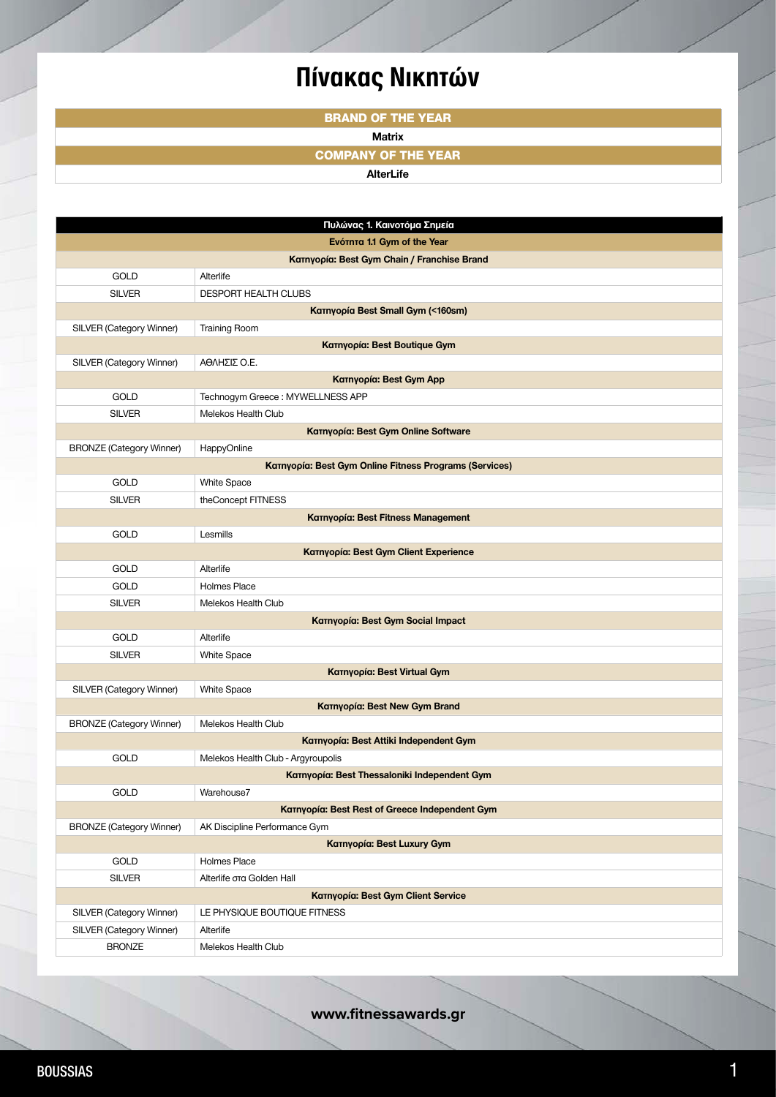## **Πίνακας Νικητών**

**BRAND OF THE YEAR**

## **Matrix**

**COMPANY OF THE YEAR**

**AlterLife**

| Πυλώνας 1. Καινοτόμα Σημεία               |                                   |                                                        |  |  |
|-------------------------------------------|-----------------------------------|--------------------------------------------------------|--|--|
| Ενότητα 1.1 Gym of the Year               |                                   |                                                        |  |  |
|                                           |                                   | Kατηγορία: Best Gym Chain / Franchise Brand            |  |  |
|                                           | <b>GOLD</b>                       | Alterlife                                              |  |  |
|                                           | <b>SILVER</b>                     | <b>DESPORT HEALTH CLUBS</b>                            |  |  |
|                                           |                                   | Karnyopía Best Small Gym (<160sm)                      |  |  |
|                                           | SILVER (Category Winner)          | <b>Training Room</b>                                   |  |  |
|                                           |                                   | <b>Κατηγορία: Best Boutique Gym</b>                    |  |  |
|                                           | SILVER (Category Winner)          | ΑΘΛΗΣΙΣ Ο.Ε.                                           |  |  |
| Κατηγορία: Best Gym App                   |                                   |                                                        |  |  |
|                                           | <b>GOLD</b>                       | Technogym Greece: MYWELLNESS APP                       |  |  |
|                                           | <b>SILVER</b>                     | Melekos Health Club                                    |  |  |
| Κατηγορία: Best Gym Online Software       |                                   |                                                        |  |  |
|                                           | <b>BRONZE (Category Winner)</b>   | HappyOnline                                            |  |  |
|                                           |                                   | Κατηγορία: Best Gym Online Fitness Programs (Services) |  |  |
|                                           | <b>GOLD</b>                       | <b>White Space</b>                                     |  |  |
|                                           | <b>SILVER</b>                     | theConcept FITNESS                                     |  |  |
|                                           |                                   | Κατηγορία: Best Fitness Management                     |  |  |
|                                           | <b>GOLD</b>                       | Lesmills                                               |  |  |
|                                           |                                   | <b>Κατηγορία: Best Gym Client Experience</b>           |  |  |
|                                           | <b>GOLD</b>                       | Alterlife                                              |  |  |
|                                           | GOLD                              | <b>Holmes Place</b>                                    |  |  |
|                                           | <b>SILVER</b>                     | Melekos Health Club                                    |  |  |
|                                           | Κατηγορία: Best Gym Social Impact |                                                        |  |  |
|                                           | GOLD                              | Alterlife                                              |  |  |
|                                           | <b>SILVER</b>                     | White Space                                            |  |  |
| Κατηγορία: Best Virtual Gym               |                                   |                                                        |  |  |
|                                           | SILVER (Category Winner)          | <b>White Space</b>                                     |  |  |
|                                           |                                   | Κατηγορία: Best New Gym Brand                          |  |  |
|                                           | <b>BRONZE (Category Winner)</b>   | Melekos Health Club                                    |  |  |
|                                           |                                   | Kaτηγορία: Best Attiki Independent Gym                 |  |  |
|                                           | GOLD                              | Melekos Health Club - Argyroupolis                     |  |  |
|                                           |                                   | Κατηγορία: Best Thessaloniki Independent Gym           |  |  |
|                                           | GOLD                              | Warehouse7                                             |  |  |
|                                           |                                   | Κατηγορία: Best Rest of Greece Independent Gym         |  |  |
|                                           | <b>BRONZE (Category Winner)</b>   | AK Discipline Performance Gym                          |  |  |
| Κατηγορία: Best Luxury Gym                |                                   |                                                        |  |  |
|                                           | GOLD                              | Holmes Place                                           |  |  |
|                                           | <b>SILVER</b>                     | Alterlife στα Golden Hall                              |  |  |
| <b>Κατηγορία: Best Gym Client Service</b> |                                   |                                                        |  |  |
|                                           | SILVER (Category Winner)          | LE PHYSIQUE BOUTIQUE FITNESS                           |  |  |
|                                           | SILVER (Category Winner)          | Alterlife                                              |  |  |
|                                           | <b>BRONZE</b>                     | Melekos Health Club                                    |  |  |

**www.fitnessawards.gr**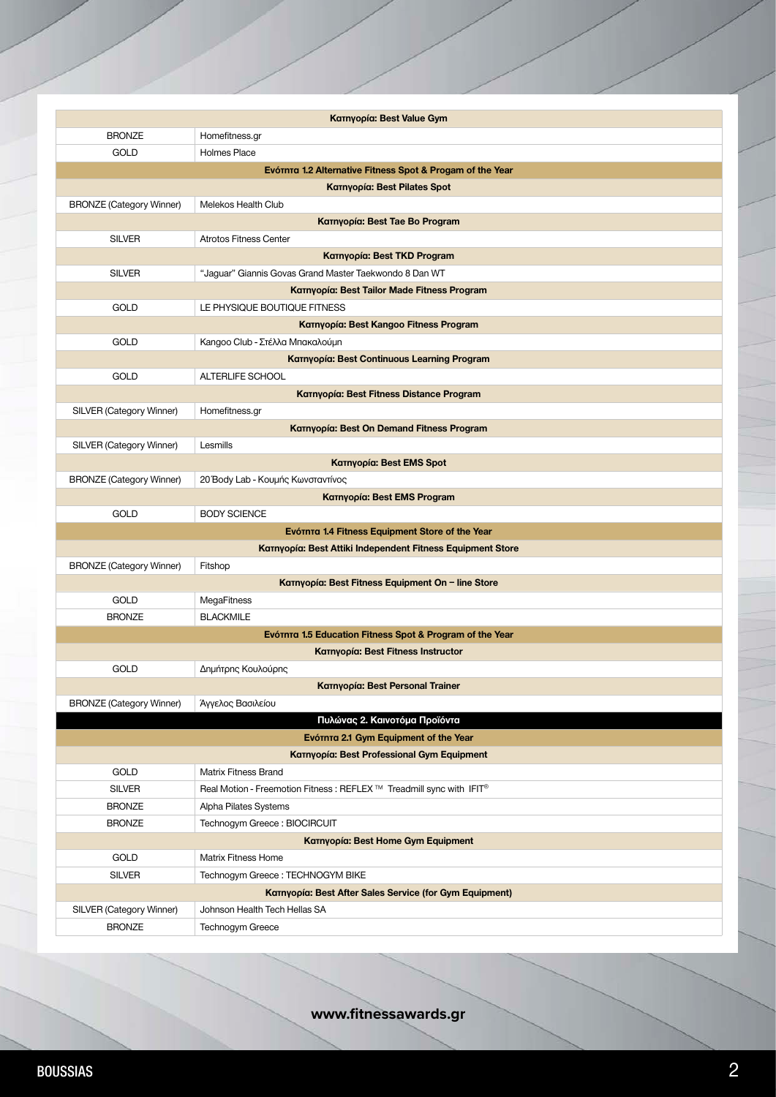|                                                                        | Kaτηγορία: Best Value Gym                                             |  |  |
|------------------------------------------------------------------------|-----------------------------------------------------------------------|--|--|
| <b>BRONZE</b>                                                          | Homefitness.gr                                                        |  |  |
| GOLD                                                                   | <b>Holmes Place</b>                                                   |  |  |
| Eνότητα 1.2 Alternative Fitness Spot & Progam of the Year              |                                                                       |  |  |
| <b>Κατηγορία: Best Pilates Spot</b>                                    |                                                                       |  |  |
| <b>BRONZE (Category Winner)</b>                                        | Melekos Health Club                                                   |  |  |
|                                                                        | Kατηγορία: Best Tae Bo Program                                        |  |  |
| <b>SILVER</b>                                                          | <b>Atrotos Fitness Center</b>                                         |  |  |
|                                                                        | Κατηγορία: Best TKD Program                                           |  |  |
| <b>SILVER</b>                                                          | "Jaguar" Giannis Govas Grand Master Taekwondo 8 Dan WT                |  |  |
|                                                                        | Kaτηγορία: Best Tailor Made Fitness Program                           |  |  |
| <b>GOLD</b>                                                            | LE PHYSIQUE BOUTIQUE FITNESS                                          |  |  |
|                                                                        | Kaτηγορία: Best Kangoo Fitness Program                                |  |  |
| <b>GOLD</b>                                                            | Kangoo Club - Στέλλα Μπακαλούμη                                       |  |  |
|                                                                        | Κατηγορία: Best Continuous Learning Program                           |  |  |
| <b>GOLD</b>                                                            | ALTERLIFE SCHOOL                                                      |  |  |
|                                                                        | Kατηγορία: Best Fitness Distance Program                              |  |  |
| SILVER (Category Winner)                                               | Homefitness.gr                                                        |  |  |
|                                                                        | Kατηγορία: Best On Demand Fitness Program                             |  |  |
| SILVER (Category Winner)                                               | Lesmills                                                              |  |  |
|                                                                        | <b>Karnyopía: Best EMS Spot</b>                                       |  |  |
| <b>BRONZE (Category Winner)</b>                                        | 20 Body Lab - Κουμής Κωνσταντίνος                                     |  |  |
|                                                                        | Κατηγορία: Best EMS Program                                           |  |  |
| GOLD                                                                   | <b>BODY SCIENCE</b>                                                   |  |  |
|                                                                        | Eνότητα 1.4 Fitness Equipment Store of the Year                       |  |  |
|                                                                        | Kaτηγορία: Best Attiki Independent Fitness Equipment Store            |  |  |
| <b>BRONZE (Category Winner)</b>                                        | Fitshop                                                               |  |  |
| Kaτηγορία: Best Fitness Equipment On - line Store                      |                                                                       |  |  |
| <b>GOLD</b>                                                            | MegaFitness                                                           |  |  |
| <b>BRONZE</b>                                                          | <b>BLACKMILE</b>                                                      |  |  |
| Eνότητα 1.5 Education Fitness Spot & Program of the Year               |                                                                       |  |  |
|                                                                        | Kaτηγορία: Best Fitness Instructor                                    |  |  |
| GOLD                                                                   | Δημήτρης Κουλούρης                                                    |  |  |
|                                                                        | <b>Κατηγορία: Best Personal Trainer</b>                               |  |  |
| <b>BRONZE (Category Winner)</b>                                        | Άγγελος Βασιλείου                                                     |  |  |
| Πυλώνας 2. Καινοτόμα Προϊόντα<br>Eνότητα 2.1 Gym Equipment of the Year |                                                                       |  |  |
|                                                                        | <b>Κατηγορία: Best Professional Gym Equipment</b>                     |  |  |
| GOLD                                                                   | <b>Matrix Fitness Brand</b>                                           |  |  |
| <b>SILVER</b>                                                          | Real Motion - Freemotion Fitness : REFLEX ™ Treadmill sync with IFIT® |  |  |
| <b>BRONZE</b>                                                          | Alpha Pilates Systems                                                 |  |  |
| <b>BRONZE</b>                                                          | Technogym Greece: BIOCIRCUIT                                          |  |  |
| <b>KaTnyopía: Best Home Gym Equipment</b>                              |                                                                       |  |  |
| GOLD                                                                   | <b>Matrix Fitness Home</b>                                            |  |  |
| <b>SILVER</b>                                                          | Technogym Greece: TECHNOGYM BIKE                                      |  |  |
| Kατηγορία: Best After Sales Service (for Gym Equipment)                |                                                                       |  |  |
| SILVER (Category Winner)                                               | Johnson Health Tech Hellas SA                                         |  |  |
| <b>BRONZE</b>                                                          | Technogym Greece                                                      |  |  |

**www.fitnessawards.gr**